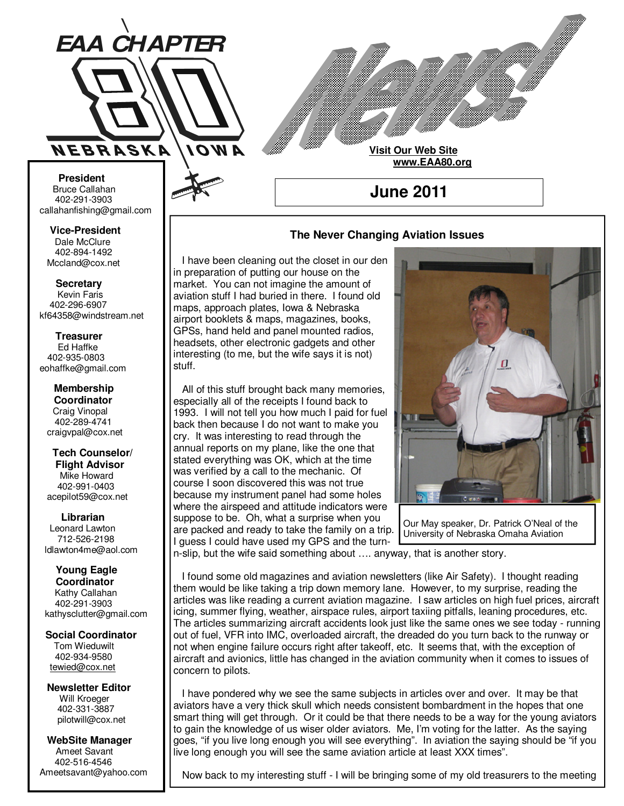

**Visit Our Web Site www.EAA80.org**

**June 2011** 

### **The Never Changing Aviation Issues**

 I have been cleaning out the closet in our den in preparation of putting our house on the market. You can not imagine the amount of aviation stuff I had buried in there. I found old maps, approach plates, Iowa & Nebraska airport booklets & maps, magazines, books, GPSs, hand held and panel mounted radios, headsets, other electronic gadgets and other interesting (to me, but the wife says it is not) stuff.

 All of this stuff brought back many memories, especially all of the receipts I found back to 1993. I will not tell you how much I paid for fuel back then because I do not want to make you cry. It was interesting to read through the annual reports on my plane, like the one that stated everything was OK, which at the time was verified by a call to the mechanic. Of course I soon discovered this was not true because my instrument panel had some holes where the airspeed and attitude indicators were suppose to be. Oh, what a surprise when you are packed and ready to take the family on a trip. I guess I could have used my GPS and the turn-



Our May speaker, Dr. Patrick O'Neal of the University of Nebraska Omaha Aviation

n-slip, but the wife said something about …. anyway, that is another story.

 I found some old magazines and aviation newsletters (like Air Safety). I thought reading them would be like taking a trip down memory lane. However, to my surprise, reading the articles was like reading a current aviation magazine. I saw articles on high fuel prices, aircraft icing, summer flying, weather, airspace rules, airport taxiing pitfalls, leaning procedures, etc. The articles summarizing aircraft accidents look just like the same ones we see today - running out of fuel, VFR into IMC, overloaded aircraft, the dreaded do you turn back to the runway or not when engine failure occurs right after takeoff, etc. It seems that, with the exception of aircraft and avionics, little has changed in the aviation community when it comes to issues of concern to pilots.

 I have pondered why we see the same subjects in articles over and over. It may be that aviators have a very thick skull which needs consistent bombardment in the hopes that one smart thing will get through. Or it could be that there needs to be a way for the young aviators to gain the knowledge of us wiser older aviators. Me, I'm voting for the latter. As the saying goes, "if you live long enough you will see everything". In aviation the saying should be "if you live long enough you will see the same aviation article at least XXX times".

Now back to my interesting stuff - I will be bringing some of my old treasurers to the meeting

**Bruce Callahan** 402-291-3903 callahanfishing@gmail.com jrnuke@cox.net  **President** 

Dale McClure 402-894-1492 Mccland@cox.net  **Vice-President** 

**Kevin Faris** 402-296-6907 kf64358@windstream.net  **Secretary** 

Ed Haffke 402-935-0803 eohaffke@gmail.com  **Treasurer** 

eohaffke@gmail.com **Membership Coordi- Coordinator**  Craig Vinopal Bob Cartwright 402-289-4741 craigvpal@cox.net  **Membership** 

robertc@novia.net **Tech Counselors & Flight Advisor** Mike Howard Bob Harvey 402-991-0403 acepilot59@cox.net  **Tech Counselor/** 

Leonard Lawton 402-991-0403 712-526-2198 ldlawton4me@aol.com  **Librarian**

**Librarian Young Eagle Coordinator** Kathy Callahan ldlawton4me@aol.com 402-291-3903 kathysclutter@gmail.com

 **Coordinator Social Coordinator**  Tom Wieduwilt 402-964-2645 402-934-9580 tewied@cox.net

**Newsletter Editor Newsletter Editor**  Will Kroeger Will Kroeger 402-331-3887 402-331-3887 pilotwill@cox.net

**WebSite Manager WebSite Manager**  Ameet Savant 402-516-4546 Ameet Savant<br>402-516-4546<br>Ameetsavant@yahoo.com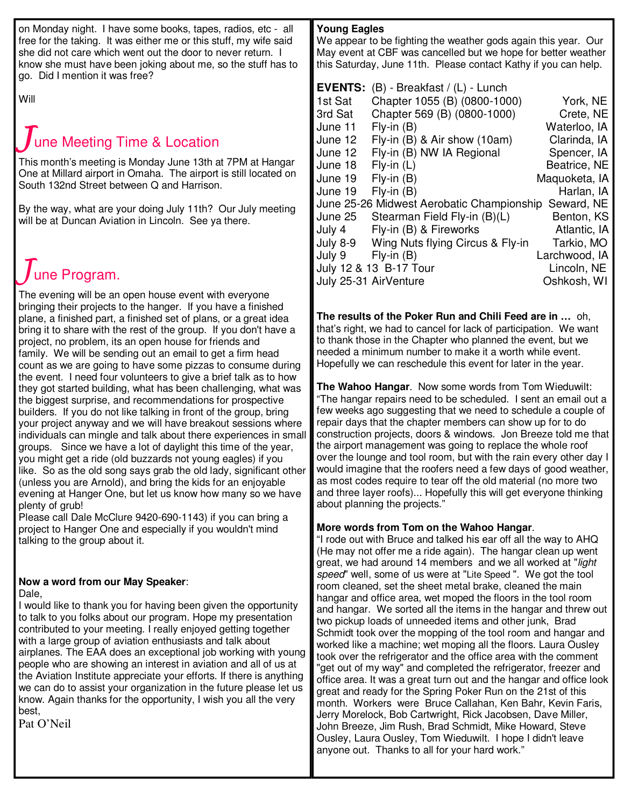on Monday night. I have some books, tapes, radios, etc - all free for the taking. It was either me or this stuff, my wife said she did not care which went out the door to never return. I know she must have been joking about me, so the stuff has to go. Did I mention it was free?

Will

# une Meeting Time & Location

This month's meeting is Monday June 13th at 7PM at Hangar One at Millard airport in Omaha. The airport is still located on South 132nd Street between Q and Harrison.

By the way, what are your doing July 11th? Our July meeting will be at Duncan Aviation in Lincoln. See ya there.

# une Program.

The evening will be an open house event with everyone bringing their projects to the hanger. If you have a finished plane, a finished part, a finished set of plans, or a great idea bring it to share with the rest of the group. If you don't have a project, no problem, its an open house for friends and family. We will be sending out an email to get a firm head count as we are going to have some pizzas to consume during the event. I need four volunteers to give a brief talk as to how they got started building, what has been challenging, what was the biggest surprise, and recommendations for prospective builders. If you do not like talking in front of the group, bring your project anyway and we will have breakout sessions where individuals can mingle and talk about there experiences in small groups. Since we have a lot of daylight this time of the year, you might get a ride (old buzzards not young eagles) if you like. So as the old song says grab the old lady, significant other (unless you are Arnold), and bring the kids for an enjoyable evening at Hanger One, but let us know how many so we have plenty of grub!

Please call Dale McClure 9420-690-1143) if you can bring a project to Hanger One and especially if you wouldn't mind talking to the group about it.

# **Now a word from our May Speaker**:

Dale,

I would like to thank you for having been given the opportunity to talk to you folks about our program. Hope my presentation contributed to your meeting. I really enjoyed getting together with a large group of aviation enthusiasts and talk about airplanes. The EAA does an exceptional job working with young people who are showing an interest in aviation and all of us at the Aviation Institute appreciate your efforts. If there is anything we can do to assist your organization in the future please let us know. Again thanks for the opportunity, I wish you all the very best,

Pat O'Neil

# **Young Eagles**

We appear to be fighting the weather gods again this year. Our May event at CBF was cancelled but we hope for better weather this Saturday, June 11th. Please contact Kathy if you can help.

| <b>EVENTS:</b><br>1st Sat<br>3rd Sat<br>June 11<br>June 12<br>June 12<br>June 18<br>June 19<br>June 19<br>June 25<br>July 4<br>July 8-9 | $(B)$ - Breakfast / $(L)$ - Lunch<br>Chapter 1055 (B) (0800-1000)<br>Chapter 569 (B) (0800-1000)<br>$Fly-in(B)$<br>Fly-in $(B)$ & Air show $(10am)$<br>Fly-in (B) NW IA Regional<br>$Fly$ -in $(L)$<br>$Fly-in(B)$<br>$Fly-in(B)$<br>June 25-26 Midwest Aerobatic Championship<br>Stearman Field Fly-in (B)(L)<br>Fly-in (B) & Fireworks<br>Wing Nuts flying Circus & Fly-in | York, NE<br>Crete, NE<br>Waterloo, IA<br>Clarinda, IA<br>Spencer, IA<br>Beatrice, NE<br>Maquoketa, IA<br>Harlan, IA<br>Seward, NE<br>Benton, KS<br>Atlantic, IA<br>Tarkio, MO |
|-----------------------------------------------------------------------------------------------------------------------------------------|------------------------------------------------------------------------------------------------------------------------------------------------------------------------------------------------------------------------------------------------------------------------------------------------------------------------------------------------------------------------------|-------------------------------------------------------------------------------------------------------------------------------------------------------------------------------|
|                                                                                                                                         |                                                                                                                                                                                                                                                                                                                                                                              |                                                                                                                                                                               |
| July 9                                                                                                                                  | $Fly-in(B)$<br>July 12 & 13 B-17 Tour<br>July 25-31 AirVenture                                                                                                                                                                                                                                                                                                               | Larchwood, IA<br>Lincoln, NE<br>Oshkosh, WI                                                                                                                                   |

**The results of the Poker Run and Chili Feed are in …** oh, that's right, we had to cancel for lack of participation. We want to thank those in the Chapter who planned the event, but we needed a minimum number to make it a worth while event. Hopefully we can reschedule this event for later in the year.

**The Wahoo Hangar**. Now some words from Tom Wieduwilt: "The hangar repairs need to be scheduled. I sent an email out a few weeks ago suggesting that we need to schedule a couple of repair days that the chapter members can show up for to do construction projects, doors & windows. Jon Breeze told me that the airport management was going to replace the whole roof over the lounge and tool room, but with the rain every other day I would imagine that the roofers need a few days of good weather, as most codes require to tear off the old material (no more two and three layer roofs)... Hopefully this will get everyone thinking about planning the projects."

## **More words from Tom on the Wahoo Hangar**.

"I rode out with Bruce and talked his ear off all the way to AHQ (He may not offer me a ride again). The hangar clean up went great, we had around 14 members and we all worked at "light speed" well, some of us were at "Lite Speed ". We got the tool room cleaned, set the sheet metal brake, cleaned the main hangar and office area, wet moped the floors in the tool room and hangar. We sorted all the items in the hangar and threw out two pickup loads of unneeded items and other junk, Brad Schmidt took over the mopping of the tool room and hangar and worked like a machine; wet moping all the floors. Laura Ousley took over the refrigerator and the office area with the comment "get out of my way" and completed the refrigerator, freezer and office area. It was a great turn out and the hangar and office look great and ready for the Spring Poker Run on the 21st of this month. Workers were Bruce Callahan, Ken Bahr, Kevin Faris, Jerry Morelock, Bob Cartwright, Rick Jacobsen, Dave Miller, John Breeze, Jim Rush, Brad Schmidt, Mike Howard, Steve Ousley, Laura Ousley, Tom Wieduwilt. I hope I didn't leave anyone out. Thanks to all for your hard work."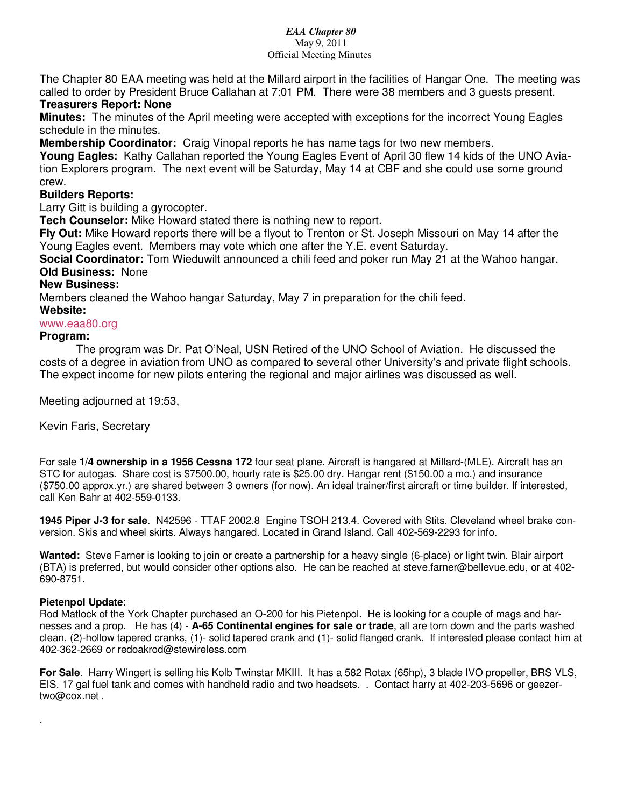#### *EAA Chapter 80*  May 9, 2011 Official Meeting Minutes

The Chapter 80 EAA meeting was held at the Millard airport in the facilities of Hangar One. The meeting was called to order by President Bruce Callahan at 7:01 PM. There were 38 members and 3 guests present.

# **Treasurers Report: None**

**Minutes:** The minutes of the April meeting were accepted with exceptions for the incorrect Young Eagles schedule in the minutes.

**Membership Coordinator:** Craig Vinopal reports he has name tags for two new members.

**Young Eagles:** Kathy Callahan reported the Young Eagles Event of April 30 flew 14 kids of the UNO Aviation Explorers program. The next event will be Saturday, May 14 at CBF and she could use some ground crew.

# **Builders Reports:**

Larry Gitt is building a gyrocopter.

**Tech Counselor:** Mike Howard stated there is nothing new to report.

**Fly Out:** Mike Howard reports there will be a flyout to Trenton or St. Joseph Missouri on May 14 after the Young Eagles event. Members may vote which one after the Y.E. event Saturday.

**Social Coordinator:** Tom Wieduwilt announced a chili feed and poker run May 21 at the Wahoo hangar. **Old Business:** None

### **New Business:**

Members cleaned the Wahoo hangar Saturday, May 7 in preparation for the chili feed.

### **Website:**

# www.eaa80.org

### **Program:**

 The program was Dr. Pat O'Neal, USN Retired of the UNO School of Aviation. He discussed the costs of a degree in aviation from UNO as compared to several other University's and private flight schools. The expect income for new pilots entering the regional and major airlines was discussed as well.

Meeting adjourned at 19:53,

Kevin Faris, Secretary

For sale **1/4 ownership in a 1956 Cessna 172** four seat plane. Aircraft is hangared at Millard-(MLE). Aircraft has an STC for autogas. Share cost is \$7500.00, hourly rate is \$25.00 dry. Hangar rent (\$150.00 a mo.) and insurance (\$750.00 approx.yr.) are shared between 3 owners (for now). An ideal trainer/first aircraft or time builder. If interested, call Ken Bahr at 402-559-0133.

**1945 Piper J-3 for sale**. N42596 - TTAF 2002.8 Engine TSOH 213.4. Covered with Stits. Cleveland wheel brake conversion. Skis and wheel skirts. Always hangared. Located in Grand Island. Call 402-569-2293 for info.

**Wanted:** Steve Farner is looking to join or create a partnership for a heavy single (6-place) or light twin. Blair airport (BTA) is preferred, but would consider other options also. He can be reached at steve.farner@bellevue.edu, or at 402- 690-8751.

#### **Pietenpol Update**:

.

Rod Matlock of the York Chapter purchased an O-200 for his Pietenpol. He is looking for a couple of mags and harnesses and a prop. He has (4) - **A-65 Continental engines for sale or trade**, all are torn down and the parts washed clean. (2)-hollow tapered cranks, (1)- solid tapered crank and (1)- solid flanged crank. If interested please contact him at 402-362-2669 or redoakrod@stewireless.com

**For Sale**. Harry Wingert is selling his Kolb Twinstar MKIII. It has a 582 Rotax (65hp), 3 blade IVO propeller, BRS VLS, EIS, 17 gal fuel tank and comes with handheld radio and two headsets. . Contact harry at 402-203-5696 or geezertwo@cox.net .